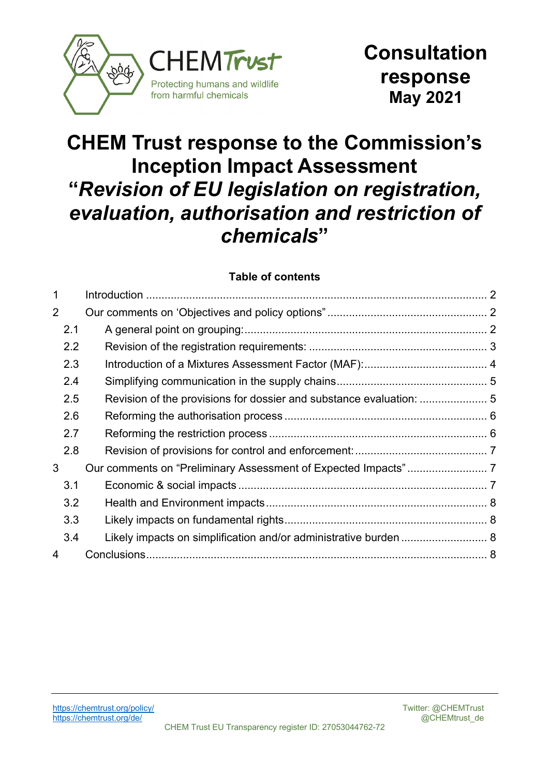

# **CHEM Trust response to the Commission's Inception Impact Assessment "***Revision of EU legislation on registration, evaluation, authorisation and restriction of chemicals***"**

#### **Table of contents**

| 1 |     |                                                                  |  |
|---|-----|------------------------------------------------------------------|--|
| 2 |     |                                                                  |  |
|   | 2.1 |                                                                  |  |
|   | 2.2 |                                                                  |  |
|   | 2.3 |                                                                  |  |
|   | 2.4 |                                                                  |  |
|   | 2.5 |                                                                  |  |
|   | 2.6 |                                                                  |  |
|   | 2.7 |                                                                  |  |
|   | 2.8 |                                                                  |  |
| 3 |     |                                                                  |  |
|   | 3.1 |                                                                  |  |
|   | 3.2 |                                                                  |  |
|   | 3.3 |                                                                  |  |
|   | 3.4 | Likely impacts on simplification and/or administrative burden  8 |  |
| 4 |     |                                                                  |  |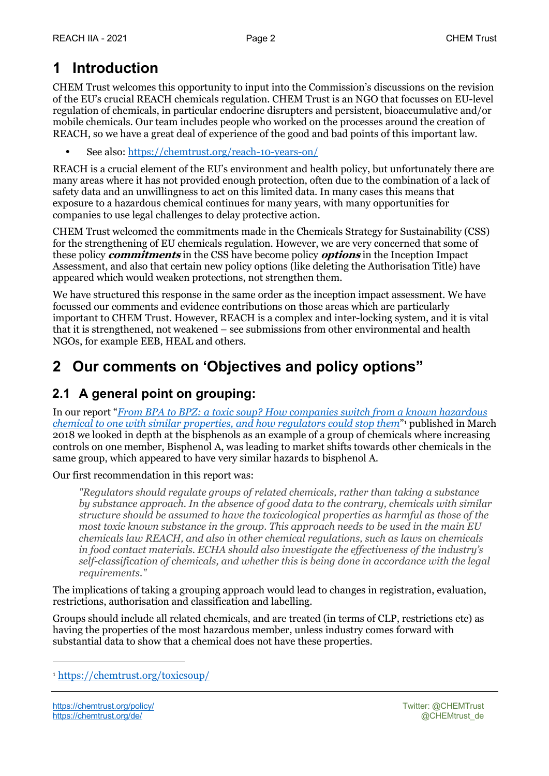# **1 Introduction**

CHEM Trust welcomes this opportunity to input into the Commission's discussions on the revision of the EU's crucial REACH chemicals regulation. CHEM Trust is an NGO that focusses on EU-level regulation of chemicals, in particular endocrine disrupters and persistent, bioaccumulative and/or mobile chemicals. Our team includes people who worked on the processes around the creation of REACH, so we have a great deal of experience of the good and bad points of this important law.

**•** See also: https://chemtrust.org/reach-10-years-on/

REACH is a crucial element of the EU's environment and health policy, but unfortunately there are many areas where it has not provided enough protection, often due to the combination of a lack of safety data and an unwillingness to act on this limited data. In many cases this means that exposure to a hazardous chemical continues for many years, with many opportunities for companies to use legal challenges to delay protective action.

CHEM Trust welcomed the commitments made in the Chemicals Strategy for Sustainability (CSS) for the strengthening of EU chemicals regulation. However, we are very concerned that some of these policy **commitments** in the CSS have become policy **options** in the Inception Impact Assessment, and also that certain new policy options (like deleting the Authorisation Title) have appeared which would weaken protections, not strengthen them.

We have structured this response in the same order as the inception impact assessment. We have focussed our comments and evidence contributions on those areas which are particularly important to CHEM Trust. However, REACH is a complex and inter-locking system, and it is vital that it is strengthened, not weakened – see submissions from other environmental and health NGOs, for example EEB, HEAL and others.

# **2 Our comments on 'Objectives and policy options"**

### **2.1 A general point on grouping:**

In our report "*From BPA to BPZ: a toxic soup? How companies switch from a known hazardous chemical to one with similar properties, and how regulators could stop them*"1 published in March 2018 we looked in depth at the bisphenols as an example of a group of chemicals where increasing controls on one member, Bisphenol A, was leading to market shifts towards other chemicals in the same group, which appeared to have very similar hazards to bisphenol A.

Our first recommendation in this report was:

*"Regulators should regulate groups of related chemicals, rather than taking a substance by substance approach. In the absence of good data to the contrary, chemicals with similar structure should be assumed to have the toxicological properties as harmful as those of the most toxic known substance in the group. This approach needs to be used in the main EU chemicals law REACH, and also in other chemical regulations, such as laws on chemicals in food contact materials. ECHA should also investigate the effectiveness of the industry's self-classification of chemicals, and whether this is being done in accordance with the legal requirements."*

The implications of taking a grouping approach would lead to changes in registration, evaluation, restrictions, authorisation and classification and labelling.

Groups should include all related chemicals, and are treated (in terms of CLP, restrictions etc) as having the properties of the most hazardous member, unless industry comes forward with substantial data to show that a chemical does not have these properties.

<sup>1</sup> https://chemtrust.org/toxicsoup/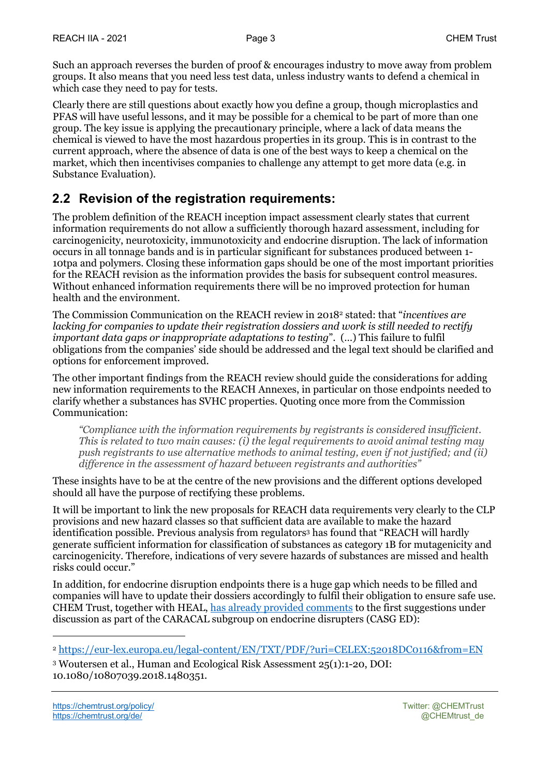Such an approach reverses the burden of proof & encourages industry to move away from problem groups. It also means that you need less test data, unless industry wants to defend a chemical in which case they need to pay for tests.

Clearly there are still questions about exactly how you define a group, though microplastics and PFAS will have useful lessons, and it may be possible for a chemical to be part of more than one group. The key issue is applying the precautionary principle, where a lack of data means the chemical is viewed to have the most hazardous properties in its group. This is in contrast to the current approach, where the absence of data is one of the best ways to keep a chemical on the market, which then incentivises companies to challenge any attempt to get more data (e.g. in Substance Evaluation).

### **2.2 Revision of the registration requirements:**

The problem definition of the REACH inception impact assessment clearly states that current information requirements do not allow a sufficiently thorough hazard assessment, including for carcinogenicity, neurotoxicity, immunotoxicity and endocrine disruption. The lack of information occurs in all tonnage bands and is in particular significant for substances produced between 1- 10tpa and polymers. Closing these information gaps should be one of the most important priorities for the REACH revision as the information provides the basis for subsequent control measures. Without enhanced information requirements there will be no improved protection for human health and the environment.

The Commission Communication on the REACH review in 20182 stated: that "*incentives are lacking for companies to update their registration dossiers and work is still needed to rectify important data gaps or inappropriate adaptations to testing*". (…) This failure to fulfil obligations from the companies' side should be addressed and the legal text should be clarified and options for enforcement improved.

The other important findings from the REACH review should guide the considerations for adding new information requirements to the REACH Annexes, in particular on those endpoints needed to clarify whether a substances has SVHC properties. Quoting once more from the Commission Communication:

*"Compliance with the information requirements by registrants is considered insufficient. This is related to two main causes: (i) the legal requirements to avoid animal testing may push registrants to use alternative methods to animal testing, even if not justified; and (ii) difference in the assessment of hazard between registrants and authorities"*

These insights have to be at the centre of the new provisions and the different options developed should all have the purpose of rectifying these problems.

It will be important to link the new proposals for REACH data requirements very clearly to the CLP provisions and new hazard classes so that sufficient data are available to make the hazard identification possible. Previous analysis from regulators3 has found that "REACH will hardly generate sufficient information for classification of substances as category 1B for mutagenicity and carcinogenicity. Therefore, indications of very severe hazards of substances are missed and health risks could occur."

In addition, for endocrine disruption endpoints there is a huge gap which needs to be filled and companies will have to update their dossiers accordingly to fulfil their obligation to ensure safe use. CHEM Trust, together with HEAL, has already provided comments to the first suggestions under discussion as part of the CARACAL subgroup on endocrine disrupters (CASG ED):

<sup>2</sup> https://eur-lex.europa.eu/legal-content/EN/TXT/PDF/?uri=CELEX:52018DC0116&from=EN

<sup>3</sup> Woutersen et al., Human and Ecological Risk Assessment 25(1):1-20, DOI: 10.1080/10807039.2018.1480351.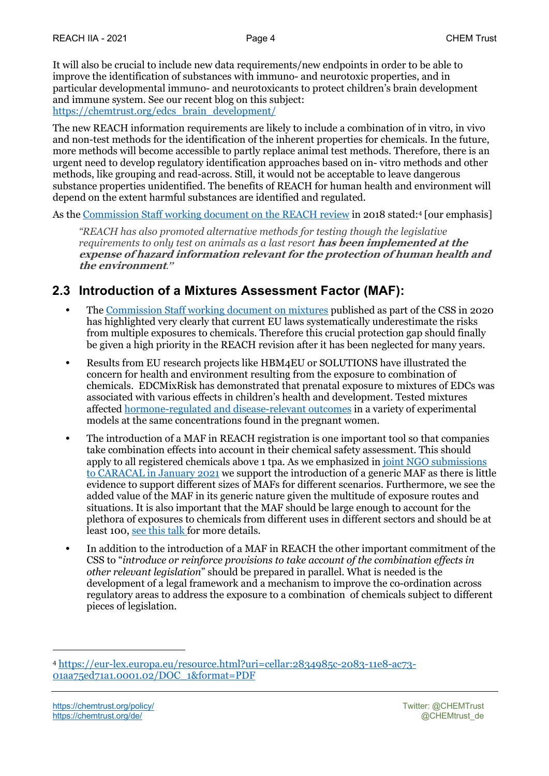It will also be crucial to include new data requirements/new endpoints in order to be able to improve the identification of substances with immuno- and neurotoxic properties, and in particular developmental immuno- and neurotoxicants to protect children's brain development and immune system. See our recent blog on this subject: https://chemtrust.org/edcs\_brain\_development/

The new REACH information requirements are likely to include a combination of in vitro, in vivo and non-test methods for the identification of the inherent properties for chemicals. In the future, more methods will become accessible to partly replace animal test methods. Therefore, there is an urgent need to develop regulatory identification approaches based on in- vitro methods and other methods, like grouping and read-across. Still, it would not be acceptable to leave dangerous substance properties unidentified. The benefits of REACH for human health and environment will depend on the extent harmful substances are identified and regulated.

As the Commission Staff working document on the REACH review in 2018 stated:4 [our emphasis]

*"REACH has also promoted alternative methods for testing though the legislative requirements to only test on animals as a last resort* **has been implemented at the expense of hazard information relevant for the protection of human health and the environment***."*

### **2.3 Introduction of a Mixtures Assessment Factor (MAF):**

- **•** The Commission Staff working document on mixtures published as part of the CSS in 2020 has highlighted very clearly that current EU laws systematically underestimate the risks from multiple exposures to chemicals. Therefore this crucial protection gap should finally be given a high priority in the REACH revision after it has been neglected for many years.
- **•** Results from EU research projects like HBM4EU or SOLUTIONS have illustrated the concern for health and environment resulting from the exposure to combination of chemicals. EDCMixRisk has demonstrated that prenatal exposure to mixtures of EDCs was associated with various effects in children's health and development. Tested mixtures affected hormone-regulated and disease-relevant outcomes in a variety of experimental models at the same concentrations found in the pregnant women.
- **•** The introduction of a MAF in REACH registration is one important tool so that companies take combination effects into account in their chemical safety assessment. This should apply to all registered chemicals above 1 tpa. As we emphasized in joint NGO submissions to CARACAL in January 2021 we support the introduction of a generic MAF as there is little evidence to support different sizes of MAFs for different scenarios. Furthermore, we see the added value of the MAF in its generic nature given the multitude of exposure routes and situations. It is also important that the MAF should be large enough to account for the plethora of exposures to chemicals from different uses in different sectors and should be at least 100, see this talk for more details.
- **•** In addition to the introduction of a MAF in REACH the other important commitment of the CSS to "*introduce or reinforce provisions to take account of the combination effects in other relevant legislation*" should be prepared in parallel. What is needed is the development of a legal framework and a mechanism to improve the co-ordination across regulatory areas to address the exposure to a combination of chemicals subject to different pieces of legislation.

<sup>4</sup> https://eur-lex.europa.eu/resource.html?uri=cellar:2834985c-2083-11e8-ac73- 01aa75ed71a1.0001.02/DOC\_1&format=PDF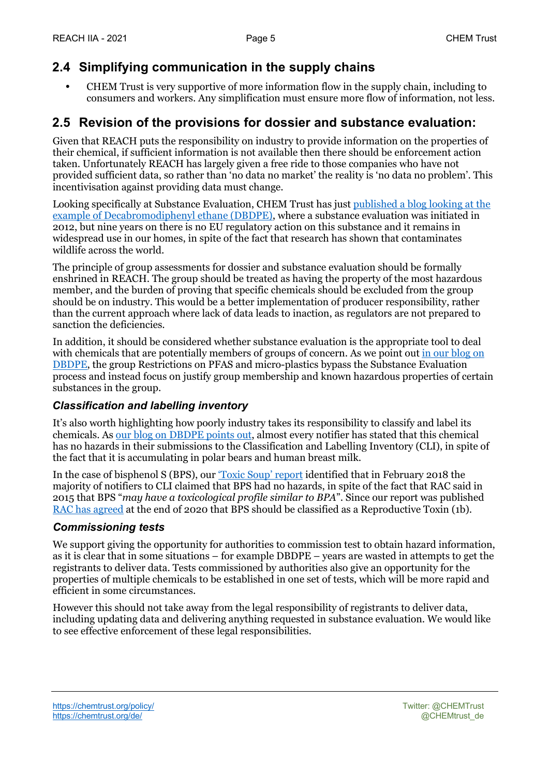### **2.4 Simplifying communication in the supply chains**

**•** CHEM Trust is very supportive of more information flow in the supply chain, including to consumers and workers. Any simplification must ensure more flow of information, not less.

### **2.5 Revision of the provisions for dossier and substance evaluation:**

Given that REACH puts the responsibility on industry to provide information on the properties of their chemical, if sufficient information is not available then there should be enforcement action taken. Unfortunately REACH has largely given a free ride to those companies who have not provided sufficient data, so rather than 'no data no market' the reality is 'no data no problem'. This incentivisation against providing data must change.

Looking specifically at Substance Evaluation, CHEM Trust has just published a blog looking at the example of Decabromodiphenyl ethane (DBDPE), where a substance evaluation was initiated in 2012, but nine years on there is no EU regulatory action on this substance and it remains in widespread use in our homes, in spite of the fact that research has shown that contaminates wildlife across the world.

The principle of group assessments for dossier and substance evaluation should be formally enshrined in REACH. The group should be treated as having the property of the most hazardous member, and the burden of proving that specific chemicals should be excluded from the group should be on industry. This would be a better implementation of producer responsibility, rather than the current approach where lack of data leads to inaction, as regulators are not prepared to sanction the deficiencies.

In addition, it should be considered whether substance evaluation is the appropriate tool to deal with chemicals that are potentially members of groups of concern. As we point out in our blog on DBDPE, the group Restrictions on PFAS and micro-plastics bypass the Substance Evaluation process and instead focus on justify group membership and known hazardous properties of certain substances in the group.

#### *Classification and labelling inventory*

It's also worth highlighting how poorly industry takes its responsibility to classify and label its chemicals. As our blog on DBDPE points out, almost every notifier has stated that this chemical has no hazards in their submissions to the Classification and Labelling Inventory (CLI), in spite of the fact that it is accumulating in polar bears and human breast milk.

In the case of bisphenol S (BPS), our <u>'Toxic Soup' report</u> identified that in February 2018 the majority of notifiers to CLI claimed that BPS had no hazards, in spite of the fact that RAC said in 2015 that BPS "*may have a toxicological profile similar to BPA*". Since our report was published RAC has agreed at the end of 2020 that BPS should be classified as a Reproductive Toxin (1b).

#### *Commissioning tests*

We support giving the opportunity for authorities to commission test to obtain hazard information, as it is clear that in some situations – for example DBDPE – years are wasted in attempts to get the registrants to deliver data. Tests commissioned by authorities also give an opportunity for the properties of multiple chemicals to be established in one set of tests, which will be more rapid and efficient in some circumstances.

However this should not take away from the legal responsibility of registrants to deliver data, including updating data and delivering anything requested in substance evaluation. We would like to see effective enforcement of these legal responsibilities.

https://chemtrust.org/policy/ Twitter: @CHEMTrust https://chemtrust.org/de/ exercises.com/det/ exercises.com/det/ exercises.com/det/ exercises.com/det/ exercises.com/det/ exercises.com/det/ exercises.com/det/ exercises.com/det/ exercises.com/det/ exercises.com/det/ exerci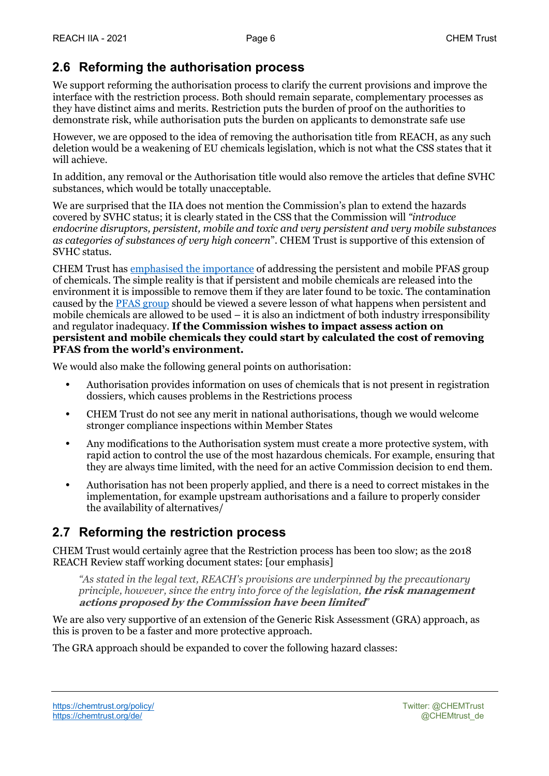### **2.6 Reforming the authorisation process**

We support reforming the authorisation process to clarify the current provisions and improve the interface with the restriction process. Both should remain separate, complementary processes as they have distinct aims and merits. Restriction puts the burden of proof on the authorities to demonstrate risk, while authorisation puts the burden on applicants to demonstrate safe use

However, we are opposed to the idea of removing the authorisation title from REACH, as any such deletion would be a weakening of EU chemicals legislation, which is not what the CSS states that it will achieve.

In addition, any removal or the Authorisation title would also remove the articles that define SVHC substances, which would be totally unacceptable.

We are surprised that the IIA does not mention the Commission's plan to extend the hazards covered by SVHC status; it is clearly stated in the CSS that the Commission will *"introduce endocrine disruptors, persistent, mobile and toxic and very persistent and very mobile substances as categories of substances of very high concern*". CHEM Trust is supportive of this extension of SVHC status.

CHEM Trust has emphasised the importance of addressing the persistent and mobile PFAS group of chemicals. The simple reality is that if persistent and mobile chemicals are released into the environment it is impossible to remove them if they are later found to be toxic. The contamination caused by the PFAS group should be viewed a severe lesson of what happens when persistent and mobile chemicals are allowed to be used – it is also an indictment of both industry irresponsibility and regulator inadequacy. **If the Commission wishes to impact assess action on persistent and mobile chemicals they could start by calculated the cost of removing PFAS from the world's environment.**

We would also make the following general points on authorisation:

- **•** Authorisation provides information on uses of chemicals that is not present in registration dossiers, which causes problems in the Restrictions process
- **•** CHEM Trust do not see any merit in national authorisations, though we would welcome stronger compliance inspections within Member States
- **•** Any modifications to the Authorisation system must create a more protective system, with rapid action to control the use of the most hazardous chemicals. For example, ensuring that they are always time limited, with the need for an active Commission decision to end them.
- **•** Authorisation has not been properly applied, and there is a need to correct mistakes in the implementation, for example upstream authorisations and a failure to properly consider the availability of alternatives/

### **2.7 Reforming the restriction process**

CHEM Trust would certainly agree that the Restriction process has been too slow; as the 2018 REACH Review staff working document states: [our emphasis]

*"As stated in the legal text, REACH's provisions are underpinned by the precautionary principle, however, since the entry into force of the legislation,* **the risk management actions proposed by the Commission have been limited***"*

We are also very supportive of an extension of the Generic Risk Assessment (GRA) approach, as this is proven to be a faster and more protective approach.

The GRA approach should be expanded to cover the following hazard classes: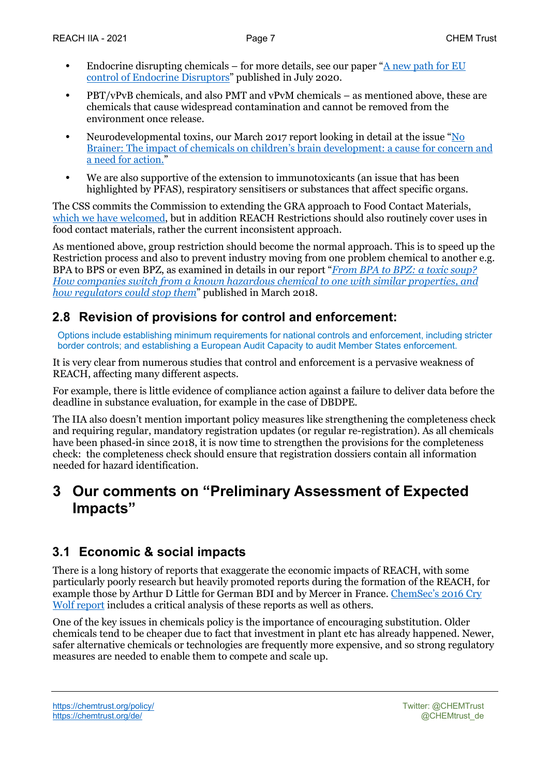- **•** Endocrine disrupting chemicals for more details, see our paper "A new path for EU control of Endocrine Disruptors" published in July 2020.
- **•** PBT/vPvB chemicals, and also PMT and vPvM chemicals as mentioned above, these are chemicals that cause widespread contamination and cannot be removed from the environment once release.
- **•** Neurodevelopmental toxins, our March 2017 report looking in detail at the issue "No Brainer: The impact of chemicals on children's brain development: a cause for concern and a need for action."
- **•** We are also supportive of the extension to immunotoxicants (an issue that has been highlighted by PFAS), respiratory sensitisers or substances that affect specific organs.

The CSS commits the Commission to extending the GRA approach to Food Contact Materials, which we have welcomed, but in addition REACH Restrictions should also routinely cover uses in food contact materials, rather the current inconsistent approach.

As mentioned above, group restriction should become the normal approach. This is to speed up the Restriction process and also to prevent industry moving from one problem chemical to another e.g. BPA to BPS or even BPZ, as examined in details in our report "*From BPA to BPZ: a toxic soup? How companies switch from a known hazardous chemical to one with similar properties, and how regulators could stop them*" published in March 2018.

### **2.8 Revision of provisions for control and enforcement:**

Options include establishing minimum requirements for national controls and enforcement, including stricter border controls; and establishing a European Audit Capacity to audit Member States enforcement.

It is very clear from numerous studies that control and enforcement is a pervasive weakness of REACH, affecting many different aspects.

For example, there is little evidence of compliance action against a failure to deliver data before the deadline in substance evaluation, for example in the case of DBDPE.

The IIA also doesn't mention important policy measures like strengthening the completeness check and requiring regular, mandatory registration updates (or regular re-registration). As all chemicals have been phased-in since 2018, it is now time to strengthen the provisions for the completeness check: the completeness check should ensure that registration dossiers contain all information needed for hazard identification.

### **3 Our comments on "Preliminary Assessment of Expected Impacts"**

### **3.1 Economic & social impacts**

There is a long history of reports that exaggerate the economic impacts of REACH, with some particularly poorly research but heavily promoted reports during the formation of the REACH, for example those by Arthur D Little for German BDI and by Mercer in France. ChemSec's 2016 Cry Wolf report includes a critical analysis of these reports as well as others.

One of the key issues in chemicals policy is the importance of encouraging substitution. Older chemicals tend to be cheaper due to fact that investment in plant etc has already happened. Newer, safer alternative chemicals or technologies are frequently more expensive, and so strong regulatory measures are needed to enable them to compete and scale up.

https://chemtrust.org/policy/ Twitter: @CHEMTrust https://chemtrust.org/de/ exercises.com/det/ exercises.com/det/ exercises.com/det/ exercises.com/det/ exercises.com/det/ exercises.com/det/ exercises.com/det/ exercises.com/det/ exercises.com/det/ exercises.com/det/ exerci